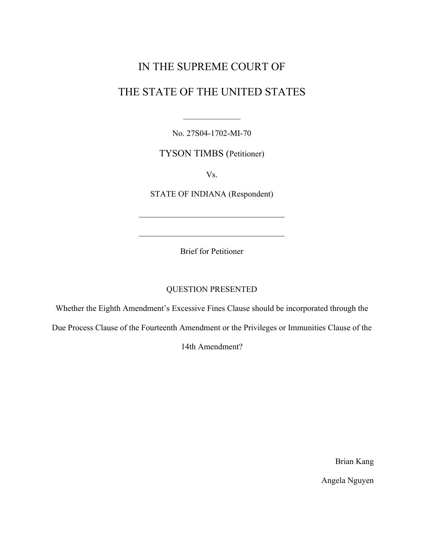# IN THE SUPREME COURT OF

# THE STATE OF THE UNITED STATES

No. 27S04-1702-MI-70

 $\frac{1}{2}$ 

TYSON TIMBS (Petitioner)

Vs.

STATE OF INDIANA (Respondent)

Brief for Petitioner

 $\mathcal{L}_\text{max}$  and  $\mathcal{L}_\text{max}$  and  $\mathcal{L}_\text{max}$  and  $\mathcal{L}_\text{max}$ 

### QUESTION PRESENTED

Whether the Eighth Amendment's Excessive Fines Clause should be incorporated through the

Due Process Clause of the Fourteenth Amendment or the Privileges or Immunities Clause of the

14th Amendment?

Brian Kang

Angela Nguyen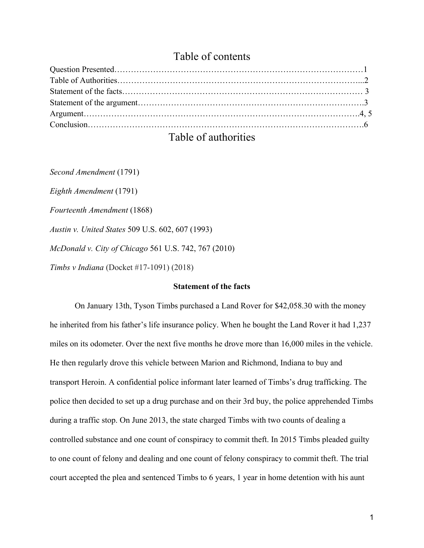# Table of contents

| $\mathbf{F}$ and $\mathbf{F}$ and $\mathbf{F}$ and $\mathbf{F}$ and $\mathbf{F}$ and $\mathbf{F}$ and $\mathbf{F}$ and $\mathbf{F}$ and $\mathbf{F}$ and $\mathbf{F}$ and $\mathbf{F}$ and $\mathbf{F}$ and $\mathbf{F}$ and $\mathbf{F}$ and $\mathbf{F}$ and $\mathbf{F}$ and $\mathbf{F}$ and |  |
|--------------------------------------------------------------------------------------------------------------------------------------------------------------------------------------------------------------------------------------------------------------------------------------------------|--|

## Table of authorities

*Second Amendment* (1791)

*Eighth Amendment* (1791)

*Fourteenth Amendment* (1868)

*Austin v. United States* 509 U.S. 602, 607 (1993)

*McDonald v. City of Chicago* 561 U.S. 742, 767 (2010)

*Timbs v Indiana* (Docket #17-1091) (2018)

### **Statement of the facts**

On January 13th, Tyson Timbs purchased a Land Rover for \$42,058.30 with the money he inherited from his father's life insurance policy. When he bought the Land Rover it had 1,237 miles on its odometer. Over the next five months he drove more than 16,000 miles in the vehicle. He then regularly drove this vehicle between Marion and Richmond, Indiana to buy and transport Heroin. A confidential police informant later learned of Timbs's drug trafficking. The police then decided to set up a drug purchase and on their 3rd buy, the police apprehended Timbs during a traffic stop. On June 2013, the state charged Timbs with two counts of dealing a controlled substance and one count of conspiracy to commit theft. In 2015 Timbs pleaded guilty to one count of felony and dealing and one count of felony conspiracy to commit theft. The trial court accepted the plea and sentenced Timbs to 6 years, 1 year in home detention with his aunt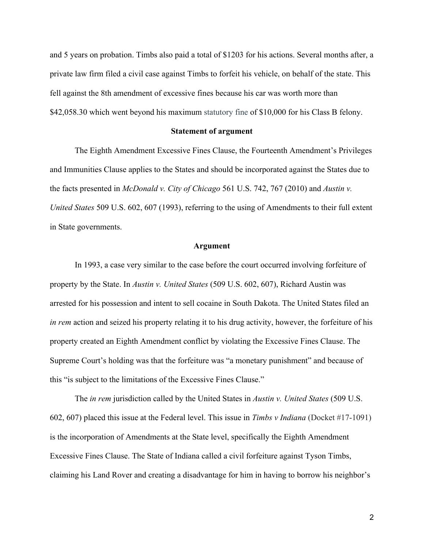and 5 years on probation. Timbs also paid a total of \$1203 for his actions. Several months after, a private law firm filed a civil case against Timbs to forfeit his vehicle, on behalf of the state. This fell against the 8th amendment of excessive fines because his car was worth more than \$42,058.30 which went beyond his maximum statutory fine of \$10,000 for his Class B felony.

#### **Statement of argument**

The Eighth Amendment Excessive Fines Clause, the Fourteenth Amendment's Privileges and Immunities Clause applies to the States and should be incorporated against the States due to the facts presented in *McDonald v. City of Chicago* 561 U.S. 742, 767 (2010) and *Austin v. United States* 509 U.S. 602, 607 (1993), referring to the using of Amendments to their full extent in State governments.

### **Argument**

In 1993, a case very similar to the case before the court occurred involving forfeiture of property by the State. In *Austin v. United States* (509 U.S. 602, 607), Richard Austin was arrested for his possession and intent to sell cocaine in South Dakota. The United States filed an *in rem* action and seized his property relating it to his drug activity, however, the forfeiture of his property created an Eighth Amendment conflict by violating the Excessive Fines Clause. The Supreme Court's holding was that the forfeiture was "a monetary punishment" and because of this "is subject to the limitations of the Excessive Fines Clause."

The *in rem* jurisdiction called by the United States in *Austin v. United States* (509 U.S. 602, 607) placed this issue at the Federal level. This issue in *Timbs v Indiana* (Docket #17-1091) is the incorporation of Amendments at the State level, specifically the Eighth Amendment Excessive Fines Clause. The State of Indiana called a civil forfeiture against Tyson Timbs, claiming his Land Rover and creating a disadvantage for him in having to borrow his neighbor's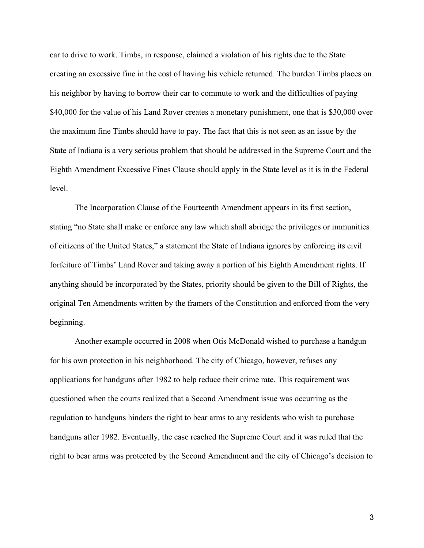car to drive to work. Timbs, in response, claimed a violation of his rights due to the State creating an excessive fine in the cost of having his vehicle returned. The burden Timbs places on his neighbor by having to borrow their car to commute to work and the difficulties of paying \$40,000 for the value of his Land Rover creates a monetary punishment, one that is \$30,000 over the maximum fine Timbs should have to pay. The fact that this is not seen as an issue by the State of Indiana is a very serious problem that should be addressed in the Supreme Court and the Eighth Amendment Excessive Fines Clause should apply in the State level as it is in the Federal level.

The Incorporation Clause of the Fourteenth Amendment appears in its first section, stating "no State shall make or enforce any law which shall abridge the privileges or immunities of citizens of the United States," a statement the State of Indiana ignores by enforcing its civil forfeiture of Timbs' Land Rover and taking away a portion of his Eighth Amendment rights. If anything should be incorporated by the States, priority should be given to the Bill of Rights, the original Ten Amendments written by the framers of the Constitution and enforced from the very beginning.

Another example occurred in 2008 when Otis McDonald wished to purchase a handgun for his own protection in his neighborhood. The city of Chicago, however, refuses any applications for handguns after 1982 to help reduce their crime rate. This requirement was questioned when the courts realized that a Second Amendment issue was occurring as the regulation to handguns hinders the right to bear arms to any residents who wish to purchase handguns after 1982. Eventually, the case reached the Supreme Court and it was ruled that the right to bear arms was protected by the Second Amendment and the city of Chicago's decision to

3